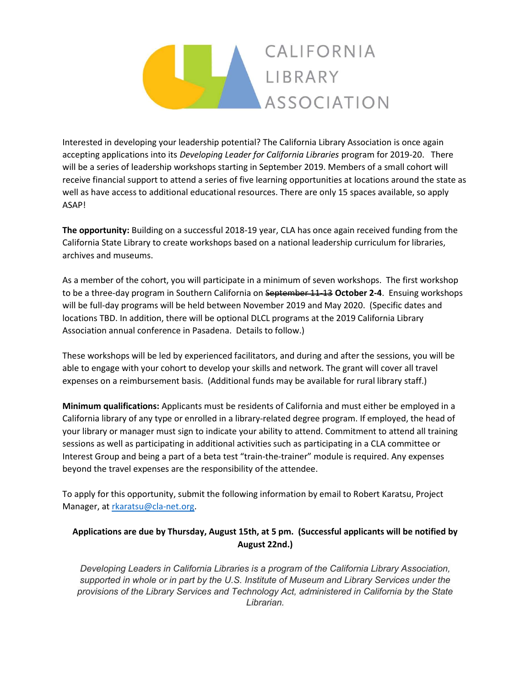## CALIFORNIA LIBRARY ASSOCIATION

Interested in developing your leadership potential? The California Library Association is once again accepting applications into its Developing Leader for California Libraries program for 2019-20. There will be a series of leadership workshops starting in September 2019. Members of a small cohort will receive financial support to attend a series of five learning opportunities at locations around the state as well as have access to additional educational resources. There are only 15 spaces available, so apply ASAP!

The opportunity: Building on a successful 2018-19 year, CLA has once again received funding from the California State Library to create workshops based on a national leadership curriculum for libraries, archives and museums.

As a member of the cohort, you will participate in a minimum of seven workshops. The first workshop to be a three-day program in Southern California on September 11-13 October 2-4. Ensuing workshops will be full-day programs will be held between November 2019 and May 2020. (Specific dates and locations TBD. In addition, there will be optional DLCL programs at the 2019 California Library Association annual conference in Pasadena. Details to follow.)

These workshops will be led by experienced facilitators, and during and after the sessions, you will be able to engage with your cohort to develop your skills and network. The grant will cover all travel expenses on a reimbursement basis. (Additional funds may be available for rural library staff.)

Minimum qualifications: Applicants must be residents of California and must either be employed in a California library of any type or enrolled in a library-related degree program. If employed, the head of your library or manager must sign to indicate your ability to attend. Commitment to attend all training sessions as well as participating in additional activities such as participating in a CLA committee or Interest Group and being a part of a beta test "train-the-trainer" module is required. Any expenses beyond the travel expenses are the responsibility of the attendee.

To apply for this opportunity, submit the following information by email to Robert Karatsu, Project Manager, at rkaratsu@cla-net.org.

## Applications are due by Thursday, August 15th, at 5 pm. (Successful applicants will be notified by August 22nd.)

Developing Leaders in California Libraries is a program of the California Library Association, supported in whole or in part by the U.S. Institute of Museum and Library Services under the provisions of the Library Services and Technology Act, administered in California by the State Librarian.